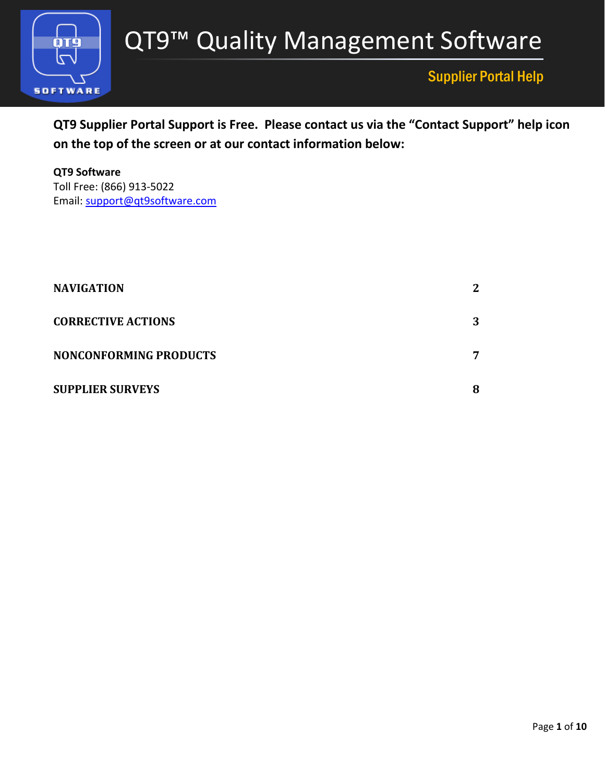

## Supplier Portal Help

**QT9 Supplier Portal Support is Free. Please contact us via the "Contact Support" help icon on the top of the screen or at our contact information below:**

**QT9 Software** Toll Free: (866) 913-5022 Email: [support@q](mailto:support@)t9software.com

| <b>NAVIGATION</b>         | $\mathbf{2}$ |
|---------------------------|--------------|
| <b>CORRECTIVE ACTIONS</b> | 3            |
| NONCONFORMING PRODUCTS    | 7            |
| <b>SUPPLIER SURVEYS</b>   | 8            |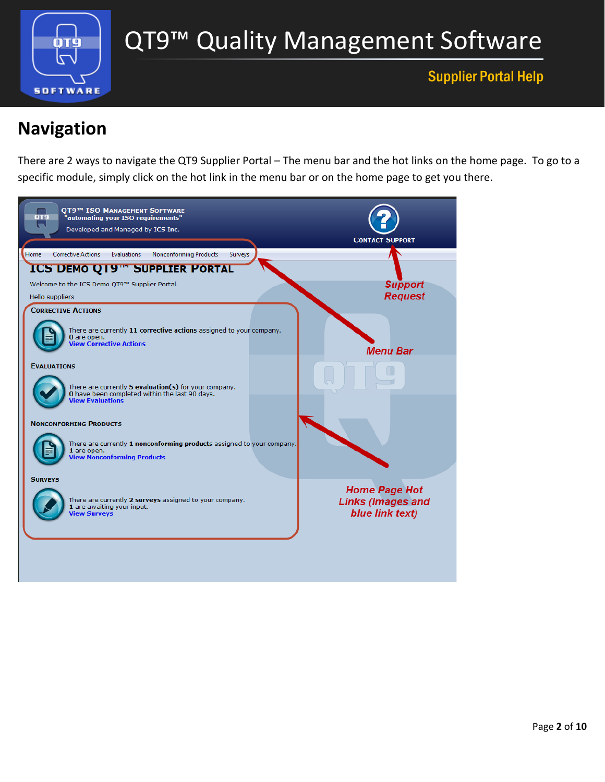

# QT9™ Quality Management Software

### Supplier Portal Help

# <span id="page-1-0"></span>**Navigation**

There are 2 ways to navigate the QT9 Supplier Portal – The menu bar and the hot links on the home page. To go to a specific module, simply click on the hot link in the menu bar or on the home page to get you there.

<span id="page-1-1"></span>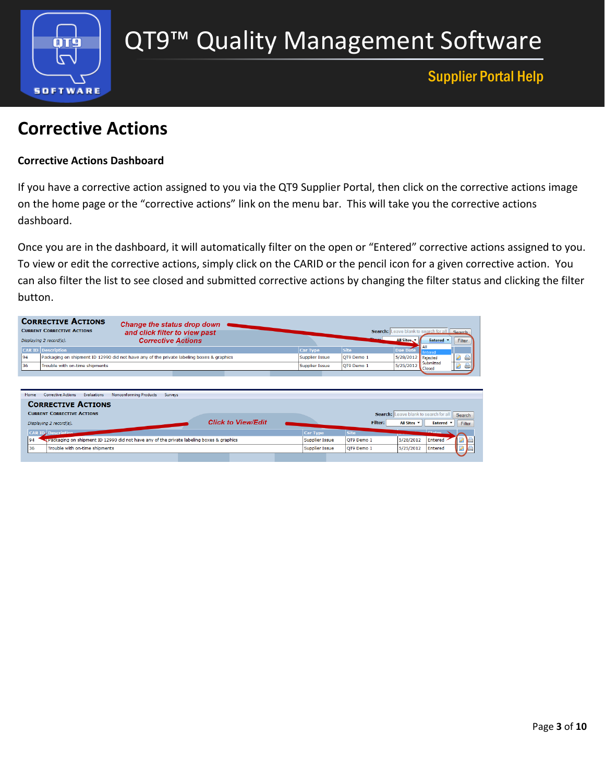

### Supplier Portal Help

## **Corrective Actions**

#### **Corrective Actions Dashboard**

If you have a corrective action assigned to you via the QT9 Supplier Portal, then click on the corrective actions image on the home page or the "corrective actions" link on the menu bar. This will take you the corrective actions dashboard.

Once you are in the dashboard, it will automatically filter on the open or "Entered" corrective actions assigned to you. To view or edit the corrective actions, simply click on the CARID or the pencil icon for a given corrective action. You can also filter the list to see closed and submitted corrective actions by changing the filter status and clicking the filter button.

|                                                                               | Change the status drop down                                                              |                       |             |                                                                                                |
|-------------------------------------------------------------------------------|------------------------------------------------------------------------------------------|-----------------------|-------------|------------------------------------------------------------------------------------------------|
| <b>CURRENT CORRECTIVE ACTIONS</b>                                             | and click filter to view past                                                            |                       |             | Search: Leave blank to search for all Search                                                   |
| Displaying 2 record(s).                                                       | <b>Corrective Actions</b>                                                                |                       |             | All Sites<br>Entered v<br>Filter                                                               |
| <b>CAR ID</b> Description                                                     |                                                                                          | <b>Car Type</b>       | Site        | <b>Due Date</b><br>Entered                                                                     |
| 94                                                                            | Packaging on shipment ID 12990 did not have any of the private labeling boxes & graphics | <b>Supplier Issue</b> | QT9 Demo 1  | Ø<br>5/28/2012<br>Rejected<br>g)                                                               |
| 36<br>Trouble with on-time shipments                                          |                                                                                          | <b>Supplier Issue</b> | OT9 Demo 1  | Submitted<br>5/25/2012<br>$\qquad \qquad \qquad \qquad \qquad \qquad \Box$<br>$\sim$<br>Closed |
|                                                                               |                                                                                          |                       |             |                                                                                                |
|                                                                               |                                                                                          |                       |             |                                                                                                |
| <b>Corrective Actions</b><br>Evaluations<br>Home<br><b>CORRECTIVE ACTIONS</b> | <b>Nonconforming Products</b><br><b>Surveys</b>                                          |                       |             |                                                                                                |
| <b>CURRENT CORRECTIVE ACTIONS</b>                                             |                                                                                          |                       |             | Search: Leave blank to search for all<br>Search                                                |
| Displaying 2 record(s).                                                       | <b>Click to View/Edit</b>                                                                |                       | Filter:     | All Sites <b>v</b><br>Entered <b>v</b><br>Filter                                               |
| <b>CAR ID Description</b>                                                     |                                                                                          | <b>Car Type</b>       | <b>Site</b> | Chattage N                                                                                     |
| 94                                                                            | Packaging on shipment ID 12990 did not have any of the private labeling boxes & graphics | <b>Supplier Issue</b> | OT9 Demo 1  | Entered /<br>5/28/2012                                                                         |
| 36<br>Trouble with on-time shipments                                          |                                                                                          | <b>Supplier Issue</b> | OT9 Demo 1  | 5/25/2012<br>Entered                                                                           |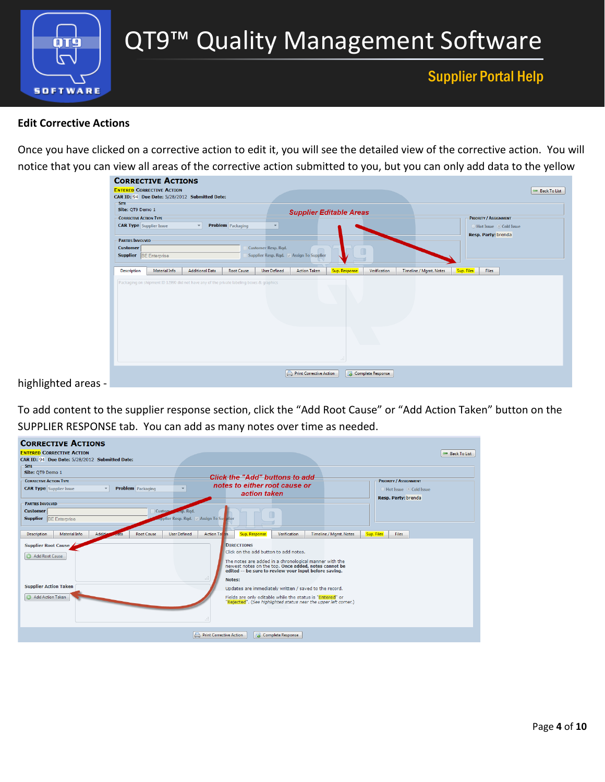

#### **Edit Corrective Actions**

Once you have clicked on a corrective action to edit it, you will see the detailed view of the corrective action. You will notice that you can view all areas of the corrective action submitted to you, but you can only add data to the yellow

| Site: QT9 Demo 1<br>- CORRECTIVE ACTION TYPE                                |                                                                                          |                        |                          |                            |                                          | <b>Supplier Editable Areas</b> |              |                        | <b>PRIORITY / ASSIGNMENT</b>                    |  |
|-----------------------------------------------------------------------------|------------------------------------------------------------------------------------------|------------------------|--------------------------|----------------------------|------------------------------------------|--------------------------------|--------------|------------------------|-------------------------------------------------|--|
| <b>CAR Type</b> Supplier Issue                                              |                                                                                          | $\mathbf{v}$           | <b>Problem</b> Packaging |                            |                                          |                                |              |                        | ◯ Hot Issue © Cold Issue<br>Resp. Party: brenda |  |
| <b>PARTIES INVOLVED</b><br><b>Customer</b><br>Supplier <b>BE</b> Enterprise |                                                                                          |                        |                          | <b>Customer Resp. Rqd.</b> | Supplier Resp. Rqd.   Assign To Supplier | $\Box$                         |              |                        |                                                 |  |
|                                                                             |                                                                                          |                        |                          |                            |                                          |                                |              |                        |                                                 |  |
| <b>Description</b>                                                          | Material Info                                                                            | <b>Additional Data</b> | <b>Root Cause</b>        | <b>User Defined</b>        | <b>Action Taken</b>                      | Sup. Response                  | Verification | Timeline / Mgmt. Notes | Sup. Files<br><b>Files</b>                      |  |
|                                                                             | Packaging on shipment ID 12990 did not have any of the private labeling boxes & graphics |                        |                          |                            |                                          |                                |              |                        |                                                 |  |

highlighted areas -

To add content to the supplier response section, click the "Add Root Cause" or "Add Action Taken" button on the SUPPLIER RESPONSE tab. You can add as many notes over time as needed.

| <b>CORRECTIVE ACTIONS</b>                                                              |                                                                                                        |                              |
|----------------------------------------------------------------------------------------|--------------------------------------------------------------------------------------------------------|------------------------------|
| <b>ENTERED CORRECTIVE ACTION</b>                                                       |                                                                                                        | Back To List                 |
| CAR ID: 94 Due Date: 5/28/2012 Submitted Date:                                         |                                                                                                        |                              |
| SITE-                                                                                  |                                                                                                        |                              |
| Site: QT9 Demo 1                                                                       |                                                                                                        |                              |
| <b>CORRECTIVE ACTION TYPE:</b>                                                         | <b>Click the "Add" buttons to add</b>                                                                  | <b>PRIORITY / ASSIGNMENT</b> |
| <b>Problem</b> Packaging<br><b>CAR Type</b> Supplier Issue<br>$\overline{\phantom{a}}$ | notes to either root cause or                                                                          | ◯ Hot Issue ⊙ Cold Issue     |
|                                                                                        | action taken                                                                                           |                              |
| <b>PARTIES INVOLVED</b>                                                                |                                                                                                        | Resp. Party: brenda          |
| <b>Customer</b><br>Custom                                                              | kesp. Rgd.                                                                                             |                              |
| <b>Supplier BE Enterprise</b>                                                          | <b>Rapplier Resp. Rgd.</b> Massign To Survivier                                                        |                              |
|                                                                                        |                                                                                                        |                              |
|                                                                                        |                                                                                                        |                              |
| Additio<br>Material Info<br><b>Root Cause</b><br><b>Description</b><br><b>Joata</b>    | <b>User Defined</b><br><b>Action Tal an</b><br>Sup. Response<br>Verification<br>Timeline / Mamt. Notes | Sup. Files<br><b>Files</b>   |
| Supplier Root Cause                                                                    | <b>DIRECTIONS</b>                                                                                      |                              |
|                                                                                        | Click on the add button to add notes.                                                                  |                              |
| Add Root Cause                                                                         | The notes are added in a chronological manner with the                                                 |                              |
|                                                                                        | newest notes on the top. Once added, notes cannot be                                                   |                              |
|                                                                                        | edited -- be sure to review your input before saving.                                                  |                              |
|                                                                                        | Notes:                                                                                                 |                              |
| <b>Supplier Action Taken</b>                                                           | Updates are immediately written / saved to the record.                                                 |                              |
| <b>Add Action Taken</b>                                                                | Fields are only editable while the status is "Entered" or                                              |                              |
|                                                                                        | "Rejected". (See highlighted status near the upper left corner.)                                       |                              |
|                                                                                        |                                                                                                        |                              |
|                                                                                        |                                                                                                        |                              |
|                                                                                        |                                                                                                        |                              |
|                                                                                        | Print Corrective Action<br>Complete Response                                                           |                              |
|                                                                                        |                                                                                                        |                              |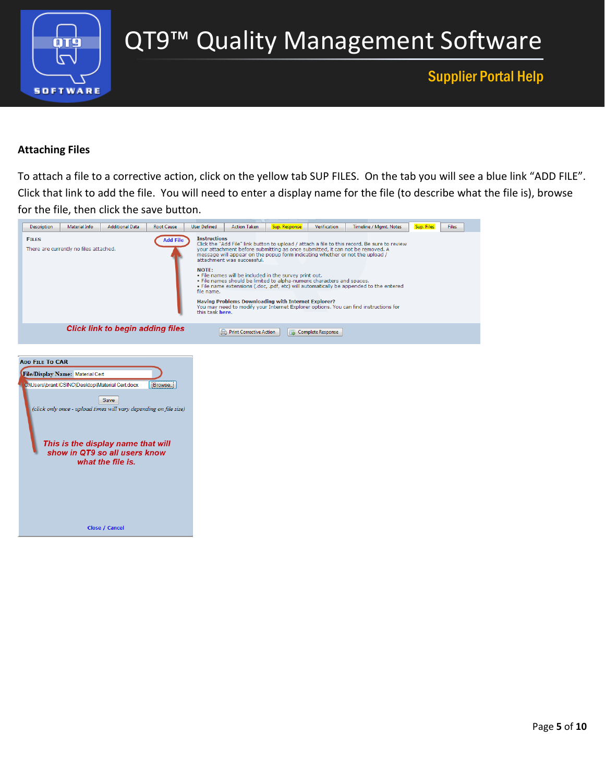

# QT9™ Quality Management Software

## Supplier Portal Help

#### **Attaching Files**

To attach a file to a corrective action, click on the yellow tab SUP FILES. On the tab you will see a blue link "ADD FILE". Click that link to add the file. You will need to enter a display name for the file (to describe what the file is), browse for the file, then click the save button.

| <b>Description</b>     | Material Info                          | <b>Additional Data</b>                                                                                                        | <b>Root Cause</b>   | <b>User Defined</b>                                                  | <b>Action Taken</b>                                                                                                                                                                                                   | Sup. Response | Verification             | Timeline / Mgmt. Notes                                                                                                                                                                                                                                                                                                                                                                                                                          | Sup. Files | <b>Files</b> |
|------------------------|----------------------------------------|-------------------------------------------------------------------------------------------------------------------------------|---------------------|----------------------------------------------------------------------|-----------------------------------------------------------------------------------------------------------------------------------------------------------------------------------------------------------------------|---------------|--------------------------|-------------------------------------------------------------------------------------------------------------------------------------------------------------------------------------------------------------------------------------------------------------------------------------------------------------------------------------------------------------------------------------------------------------------------------------------------|------------|--------------|
| <b>FILES</b>           | There are currently no files attached. |                                                                                                                               | <b>Add File</b>     | <b>Instructions</b><br><b>NOTE:</b><br>file name.<br>this task here. | attachment was successful.<br>. File names will be included in the survey print out.<br>. File names should be limited to alpha-numeric characters and spaces.<br>Having Problems Downloading with Internet Explorer? |               |                          | Click the "Add File" link button to upload / attach a file to this record. Be sure to review<br>your attachment before submitting as once submitted, it can not be removed. A<br>message will appear on the popup form indicating whether or not the upload /<br>. File name extensions (.doc, .pdf, etc) will automatically be appended to the entered<br>You may need to modify your Internet Explorer options. You can find instructions for |            |              |
|                        |                                        | <b>Click link to begin adding files</b>                                                                                       |                     |                                                                      | Print Corrective Action                                                                                                                                                                                               | ᆳ             | <b>Complete Response</b> |                                                                                                                                                                                                                                                                                                                                                                                                                                                 |            |              |
|                        |                                        |                                                                                                                               |                     |                                                                      |                                                                                                                                                                                                                       |               |                          |                                                                                                                                                                                                                                                                                                                                                                                                                                                 |            |              |
|                        |                                        |                                                                                                                               |                     |                                                                      |                                                                                                                                                                                                                       |               |                          |                                                                                                                                                                                                                                                                                                                                                                                                                                                 |            |              |
| <b>ADD FILE TO CAR</b> |                                        |                                                                                                                               |                     |                                                                      |                                                                                                                                                                                                                       |               |                          |                                                                                                                                                                                                                                                                                                                                                                                                                                                 |            |              |
|                        | File/Display Name: Material Cert       |                                                                                                                               |                     |                                                                      |                                                                                                                                                                                                                       |               |                          |                                                                                                                                                                                                                                                                                                                                                                                                                                                 |            |              |
|                        |                                        | C:\Users\brant.ICSINC\Desktop\Material Cert.docx<br>Save<br>(click only once - upload times will vary depending on file size) | Browse <sub>-</sub> |                                                                      |                                                                                                                                                                                                                       |               |                          |                                                                                                                                                                                                                                                                                                                                                                                                                                                 |            |              |
|                        |                                        | This is the display name that will<br>show in QT9 so all users know<br>what the file is.                                      |                     |                                                                      |                                                                                                                                                                                                                       |               |                          |                                                                                                                                                                                                                                                                                                                                                                                                                                                 |            |              |
|                        |                                        |                                                                                                                               |                     |                                                                      |                                                                                                                                                                                                                       |               |                          |                                                                                                                                                                                                                                                                                                                                                                                                                                                 |            |              |
|                        |                                        | <b>Close / Cancel</b>                                                                                                         |                     |                                                                      |                                                                                                                                                                                                                       |               |                          |                                                                                                                                                                                                                                                                                                                                                                                                                                                 |            |              |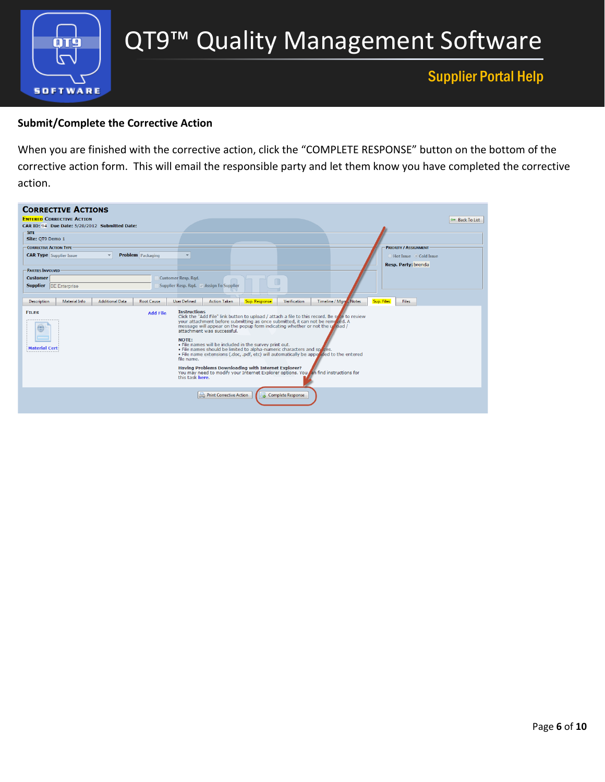

#### **Submit/Complete the Corrective Action**

When you are finished with the corrective action, click the "COMPLETE RESPONSE" button on the bottom of the corrective action form. This will email the responsible party and let them know you have completed the corrective action.

| <b>CORRECTIVE ACTIONS</b><br><b>ENTERED CORRECTIVE ACTION</b><br>CAR ID: 94 Due Date: 5/28/2012 Submitted Date:<br>-SITE-<br>Site: OT9 Demo 1<br>-CORRECTIVE ACTION TYPE:<br><b>Problem</b> Packaging<br><b>CAR Type</b> Supplier Issue<br><b>PARTIES INVOLVED</b><br><b>Customer</b><br><b>Supplier BE Enterprise</b> | <b>Customer Resp. Rqd.</b><br>Supplier Resp. Rad. Assian To Supplier                                                                                                                                                                                                                                                                                                                                                                                                                                                                                                                                                                                                                                                                                                                                                                                                            | Back To List<br><b>PRIORITY / ASSIGNMENT</b><br>○ Hot Issue © Cold Issue<br>Resp. Party: brenda |
|------------------------------------------------------------------------------------------------------------------------------------------------------------------------------------------------------------------------------------------------------------------------------------------------------------------------|---------------------------------------------------------------------------------------------------------------------------------------------------------------------------------------------------------------------------------------------------------------------------------------------------------------------------------------------------------------------------------------------------------------------------------------------------------------------------------------------------------------------------------------------------------------------------------------------------------------------------------------------------------------------------------------------------------------------------------------------------------------------------------------------------------------------------------------------------------------------------------|-------------------------------------------------------------------------------------------------|
| Material Info<br><b>Additional Data</b><br><b>Root Cause</b><br><b>Description</b><br><b>FILES</b><br><b>Add File</b><br>(#)<br><b>Material Cert</b>                                                                                                                                                                   | Sup. Response<br>Verification<br><b>User Defined</b><br><b>Action Taken</b><br><b>Instructions</b><br>Click the "Add File" link button to upload / attach a file to this record. Be spre to review<br>your attachment before submitting as once submitted, it can not be removed. A<br>message will appear on the popup form indicating whether or not the unional /<br>attachment was successful.<br>NOTE:<br>. File names will be included in the survey print out.<br>. File names should be limited to alpha-numeric characters and spaces.<br>. File name extensions (.doc. .pdf, etc) will automatically be appered to the entered<br>file name.<br>Having Problems Downloading with Internet Explorer?<br>You may need to modify your Internet Explorer options. You can find instructions for<br>this task here.<br><b>Print Corrective Action</b><br>Complete Response | Sup. Files<br>Timeline / Mgn  Notes<br><b>Files</b>                                             |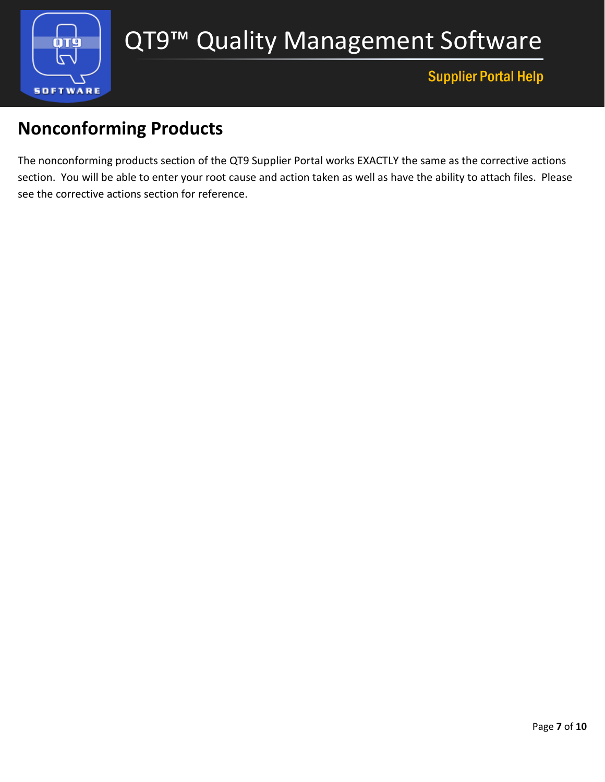

## <span id="page-6-0"></span>**Nonconforming Products**

The nonconforming products section of the QT9 Supplier Portal works EXACTLY the same as the corrective actions section. You will be able to enter your root cause and action taken as well as have the ability to attach files. Please see the corrective actions section for reference.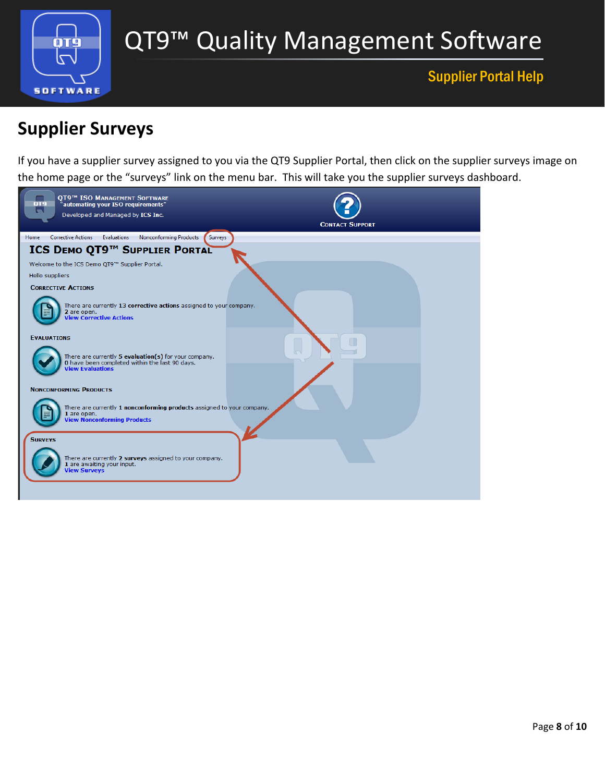

# QT9™ Quality Management Software

## Supplier Portal Help

# <span id="page-7-0"></span>**Supplier Surveys**

If you have a supplier survey assigned to you via the QT9 Supplier Portal, then click on the supplier surveys image on the home page or the "surveys" link on the menu bar. This will take you the supplier surveys dashboard.

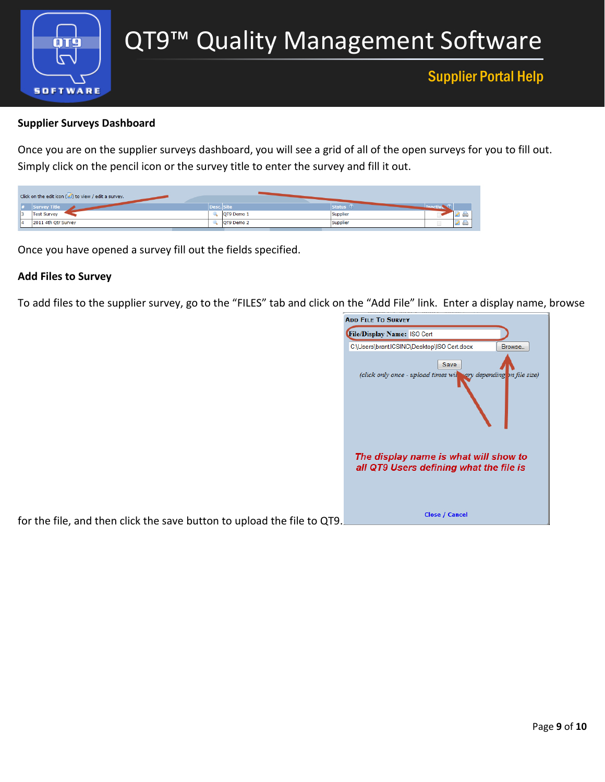

#### **Supplier Surveys Dashboard**

Once you are on the supplier surveys dashboard, you will see a grid of all of the open surveys for you to fill out. Simply click on the pencil icon or the survey title to enter the survey and fill it out.

| Click on the edit icon $(\triangle)$ to view / edit a survey. |                    |                            |
|---------------------------------------------------------------|--------------------|----------------------------|
| Survey Title                                                  | <b>NDesc. Site</b> | Status ♡                   |
| <b>Test Survey</b>                                            | OT9 Demo 1         | Supplier<br><b>Control</b> |
| 2011 4th Qtr Survey                                           | QT9 Demo 2         | Supplier<br>-              |

Once you have opened a survey fill out the fields specified.

#### **Add Files to Survey**

To add files to the supplier survey, go to the "FILES" tab and click on the "Add File" link. Enter a display name, browse

| <b>ADD FILE TO SURVEY</b>                                                        |         |
|----------------------------------------------------------------------------------|---------|
| File/Display Name: ISO Cert                                                      |         |
| C:\Users\brant.ICSINC\Desktop\ISO Cert.docx                                      | Browse. |
| Save<br>(click only once - upload times will vary depending on file size)        |         |
| The display name is what will show to<br>all QT9 Users defining what the file is |         |
| <b>Close / Cancel</b>                                                            |         |

for the file, and then click the save button to upload the file to QT9.